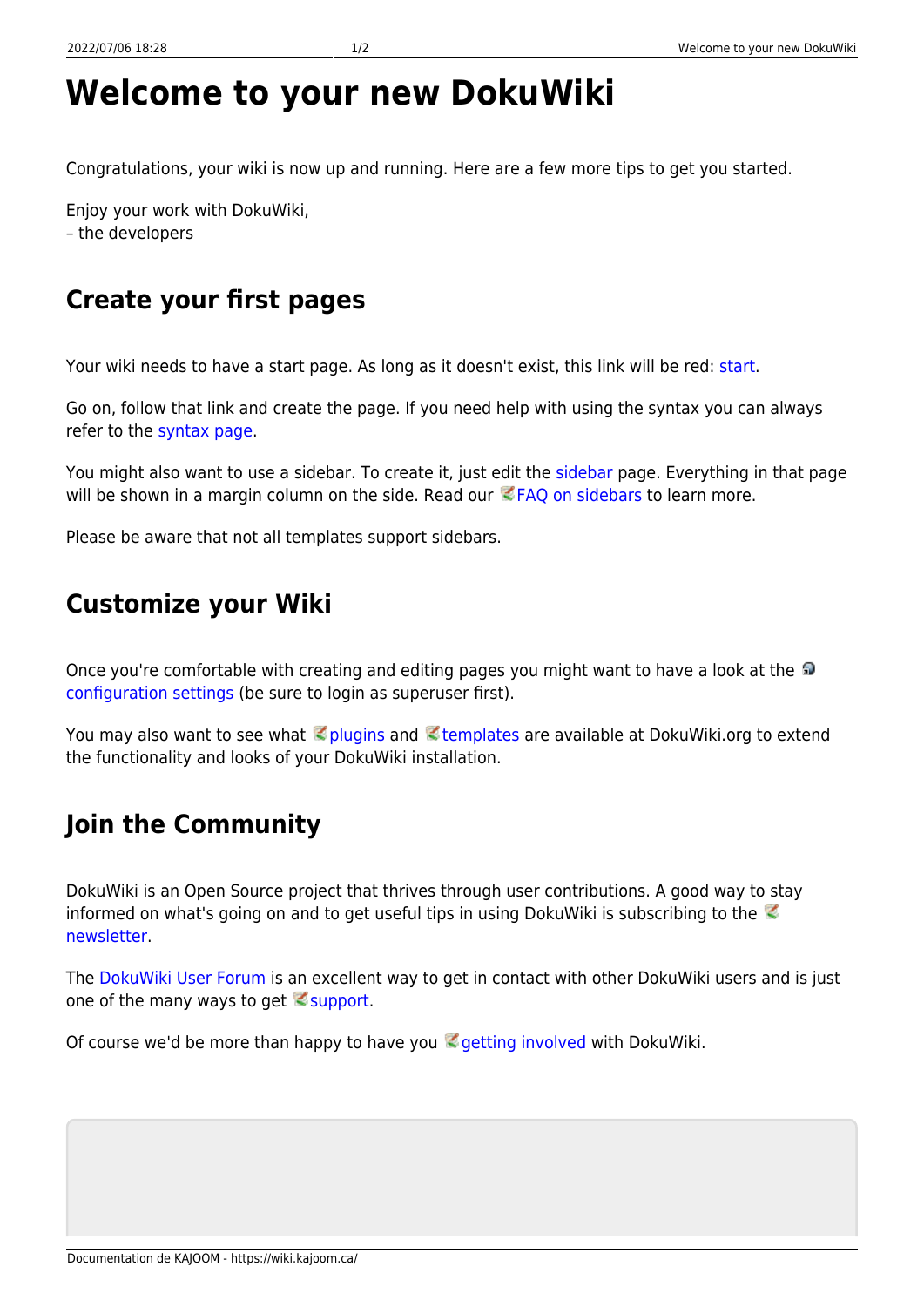## **Welcome to your new DokuWiki**

Congratulations, your wiki is now up and running. Here are a few more tips to get you started.

Enjoy your work with DokuWiki, – the developers

## **Create your first pages**

Your wiki needs to have a start page. As long as it doesn't exist, this link will be red: [start.](https://wiki.kajoom.ca/start)

Go on, follow that link and create the page. If you need help with using the syntax you can always refer to the [syntax page.](https://wiki.kajoom.ca/wiki/syntax)

You might also want to use a sidebar. To create it, just edit the [sidebar](https://wiki.kajoom.ca/sidebar) page. Everything in that page will be shown in a margin column on the side. Read our  $EFAQ$  on sidebars to learn more.

Please be aware that not all templates support sidebars.

## **Customize your Wiki**

Onceyou're comfortable with creating and editing pages you might want to have a look at the [configuration settings](https://wiki.kajoom.ca/doku.php?do=admin&page=config) (be sure to login as superuser first).

You may also want to see what **plugins and Etemplates are available at DokuWiki.org to extend** the functionality and looks of your DokuWiki installation.

## **Join the Community**

DokuWiki is an Open Source project that thrives through user contributions. A good way to stay informedon what's going on and to get useful tips in using DokuWiki is subscribing to the  $\heartsuit$ [newsletter.](https://www.dokuwiki.org/newsletter)

The [DokuWiki User Forum](http://forum.dokuwiki.org) is an excellent way to get in contact with other DokuWiki users and is just one of the many ways to get  $\leq$  [support.](https://www.dokuwiki.org/faq%3Asupport)

Of course we'd be more than happy to have you  $\leq$  [getting involved](https://www.dokuwiki.org/teams%3Agetting_involved) with DokuWiki.